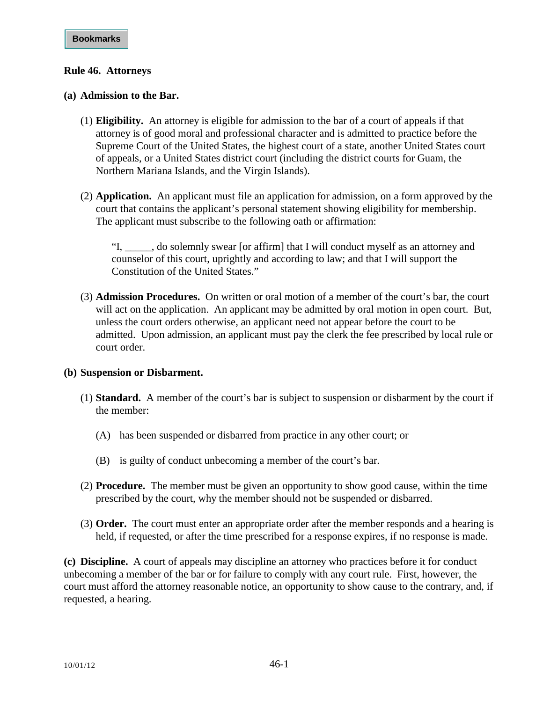## **Rule 46. Attorneys**

## **(a) Admission to the Bar.**

- (1) **Eligibility.** An attorney is eligible for admission to the bar of a court of appeals if that attorney is of good moral and professional character and is admitted to practice before the Supreme Court of the United States, the highest court of a state, another United States court of appeals, or a United States district court (including the district courts for Guam, the Northern Mariana Islands, and the Virgin Islands).
- (2) **Application.** An applicant must file an application for admission, on a form approved by the court that contains the applicant's personal statement showing eligibility for membership. The applicant must subscribe to the following oath or affirmation:

"I, \_\_\_\_\_, do solemnly swear [or affirm] that I will conduct myself as an attorney and counselor of this court, uprightly and according to law; and that I will support the Constitution of the United States."

(3) **Admission Procedures.** On written or oral motion of a member of the court's bar, the court will act on the application. An applicant may be admitted by oral motion in open court. But, unless the court orders otherwise, an applicant need not appear before the court to be admitted. Upon admission, an applicant must pay the clerk the fee prescribed by local rule or court order.

### **(b) Suspension or Disbarment.**

- (1) **Standard.** A member of the court's bar is subject to suspension or disbarment by the court if the member:
	- (A) has been suspended or disbarred from practice in any other court; or
	- (B) is guilty of conduct unbecoming a member of the court's bar.
- (2) **Procedure.** The member must be given an opportunity to show good cause, within the time prescribed by the court, why the member should not be suspended or disbarred.
- (3) **Order.** The court must enter an appropriate order after the member responds and a hearing is held, if requested, or after the time prescribed for a response expires, if no response is made.

**(c) Discipline.** A court of appeals may discipline an attorney who practices before it for conduct unbecoming a member of the bar or for failure to comply with any court rule. First, however, the court must afford the attorney reasonable notice, an opportunity to show cause to the contrary, and, if requested, a hearing.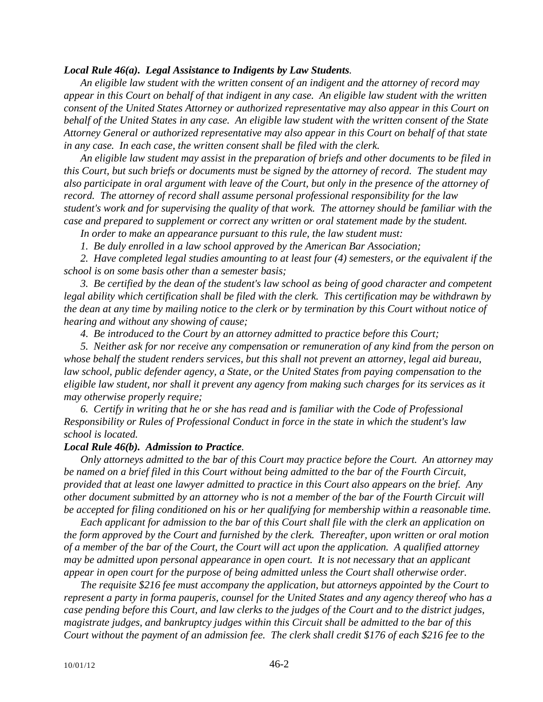#### *Local Rule 46(a). Legal Assistance to Indigents by Law Students.*

*An eligible law student with the written consent of an indigent and the attorney of record may appear in this Court on behalf of that indigent in any case. An eligible law student with the written consent of the United States Attorney or authorized representative may also appear in this Court on behalf of the United States in any case. An eligible law student with the written consent of the State Attorney General or authorized representative may also appear in this Court on behalf of that state in any case. In each case, the written consent shall be filed with the clerk.*

*An eligible law student may assist in the preparation of briefs and other documents to be filed in this Court, but such briefs or documents must be signed by the attorney of record. The student may also participate in oral argument with leave of the Court, but only in the presence of the attorney of record. The attorney of record shall assume personal professional responsibility for the law student's work and for supervising the quality of that work. The attorney should be familiar with the case and prepared to supplement or correct any written or oral statement made by the student.*

*In order to make an appearance pursuant to this rule, the law student must:*

*1. Be duly enrolled in a law school approved by the American Bar Association;*

*2. Have completed legal studies amounting to at least four (4) semesters, or the equivalent if the school is on some basis other than a semester basis;*

*3. Be certified by the dean of the student's law school as being of good character and competent legal ability which certification shall be filed with the clerk. This certification may be withdrawn by the dean at any time by mailing notice to the clerk or by termination by this Court without notice of hearing and without any showing of cause;*

*4. Be introduced to the Court by an attorney admitted to practice before this Court;*

*5. Neither ask for nor receive any compensation or remuneration of any kind from the person on whose behalf the student renders services, but this shall not prevent an attorney, legal aid bureau, law school, public defender agency, a State, or the United States from paying compensation to the eligible law student, nor shall it prevent any agency from making such charges for its services as it may otherwise properly require;*

*6. Certify in writing that he or she has read and is familiar with the Code of Professional Responsibility or Rules of Professional Conduct in force in the state in which the student's law school is located.*

#### *Local Rule 46(b). Admission to Practice.*

*Only attorneys admitted to the bar of this Court may practice before the Court. An attorney may be named on a brief filed in this Court without being admitted to the bar of the Fourth Circuit, provided that at least one lawyer admitted to practice in this Court also appears on the brief. Any other document submitted by an attorney who is not a member of the bar of the Fourth Circuit will be accepted for filing conditioned on his or her qualifying for membership within a reasonable time.*

*Each applicant for admission to the bar of this Court shall file with the clerk an application on the form approved by the Court and furnished by the clerk. Thereafter, upon written or oral motion of a member of the bar of the Court, the Court will act upon the application. A qualified attorney may be admitted upon personal appearance in open court. It is not necessary that an applicant appear in open court for the purpose of being admitted unless the Court shall otherwise order.*

*The requisite \$216 fee must accompany the application, but attorneys appointed by the Court to represent a party in forma pauperis, counsel for the United States and any agency thereof who has a case pending before this Court, and law clerks to the judges of the Court and to the district judges, magistrate judges, and bankruptcy judges within this Circuit shall be admitted to the bar of this Court without the payment of an admission fee. The clerk shall credit \$176 of each \$216 fee to the*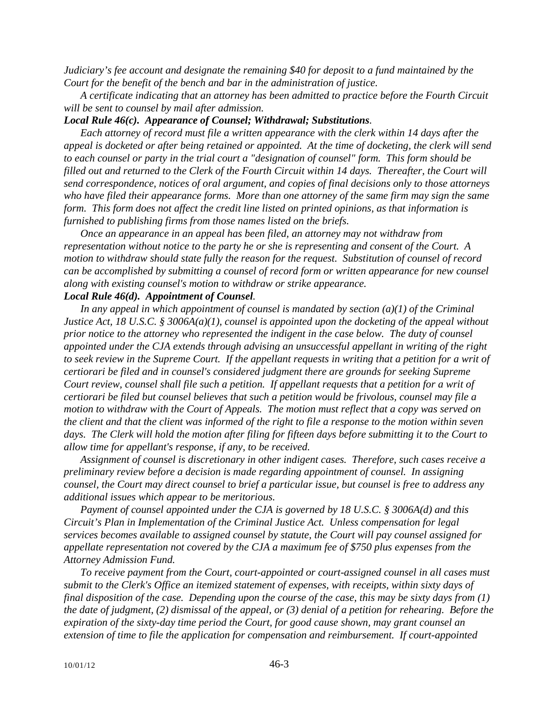*Judiciary's fee account and designate the remaining \$40 for deposit to a fund maintained by the Court for the benefit of the bench and bar in the administration of justice.* 

*A certificate indicating that an attorney has been admitted to practice before the Fourth Circuit will be sent to counsel by mail after admission.*

### *Local Rule 46(c). Appearance of Counsel; Withdrawal; Substitutions.*

*Each attorney of record must file a written appearance with the clerk within 14 days after the appeal is docketed or after being retained or appointed. At the time of docketing, the clerk will send to each counsel or party in the trial court a "designation of counsel" form. This form should be filled out and returned to the Clerk of the Fourth Circuit within 14 days. Thereafter, the Court will send correspondence, notices of oral argument, and copies of final decisions only to those attorneys who have filed their appearance forms. More than one attorney of the same firm may sign the same form. This form does not affect the credit line listed on printed opinions, as that information is furnished to publishing firms from those names listed on the briefs.*

*Once an appearance in an appeal has been filed, an attorney may not withdraw from representation without notice to the party he or she is representing and consent of the Court. A motion to withdraw should state fully the reason for the request. Substitution of counsel of record can be accomplished by submitting a counsel of record form or written appearance for new counsel along with existing counsel's motion to withdraw or strike appearance.*

### *Local Rule 46(d). Appointment of Counsel.*

*In any appeal in which appointment of counsel is mandated by section (a)(1) of the Criminal Justice Act, 18 U.S.C. § 3006A(a)(1), counsel is appointed upon the docketing of the appeal without prior notice to the attorney who represented the indigent in the case below. The duty of counsel appointed under the CJA extends through advising an unsuccessful appellant in writing of the right to seek review in the Supreme Court. If the appellant requests in writing that a petition for a writ of certiorari be filed and in counsel's considered judgment there are grounds for seeking Supreme Court review, counsel shall file such a petition. If appellant requests that a petition for a writ of certiorari be filed but counsel believes that such a petition would be frivolous, counsel may file a motion to withdraw with the Court of Appeals. The motion must reflect that a copy was served on the client and that the client was informed of the right to file a response to the motion within seven days. The Clerk will hold the motion after filing for fifteen days before submitting it to the Court to allow time for appellant's response, if any, to be received.*

*Assignment of counsel is discretionary in other indigent cases. Therefore, such cases receive a preliminary review before a decision is made regarding appointment of counsel. In assigning counsel, the Court may direct counsel to brief a particular issue, but counsel is free to address any additional issues which appear to be meritorious.*

*Payment of counsel appointed under the CJA is governed by 18 U.S.C. § 3006A(d) and this Circuit's Plan in Implementation of the Criminal Justice Act. Unless compensation for legal services becomes available to assigned counsel by statute, the Court will pay counsel assigned for appellate representation not covered by the CJA a maximum fee of \$750 plus expenses from the Attorney Admission Fund.* 

*To receive payment from the Court, court-appointed or court-assigned counsel in all cases must submit to the Clerk's Office an itemized statement of expenses, with receipts, within sixty days of final disposition of the case. Depending upon the course of the case, this may be sixty days from (1) the date of judgment, (2) dismissal of the appeal, or (3) denial of a petition for rehearing. Before the expiration of the sixty-day time period the Court, for good cause shown, may grant counsel an extension of time to file the application for compensation and reimbursement. If court-appointed*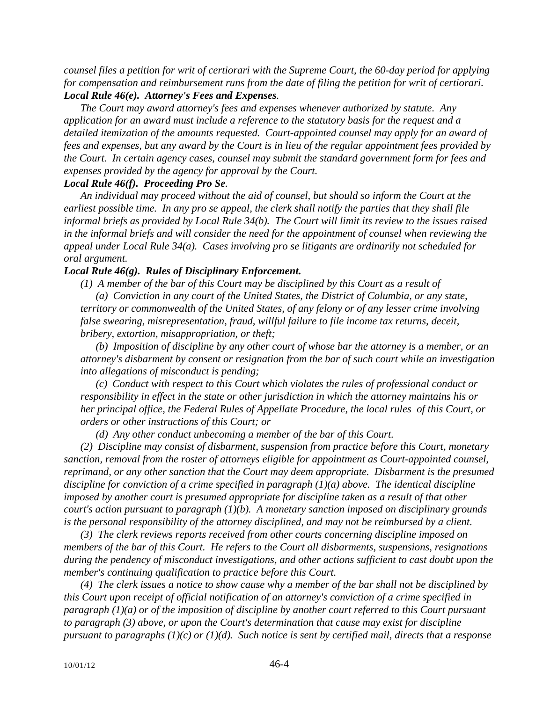*counsel files a petition for writ of certiorari with the Supreme Court, the 60-day period for applying for compensation and reimbursement runs from the date of filing the petition for writ of certiorari. Local Rule 46(e). Attorney's Fees and Expenses.*

*The Court may award attorney's fees and expenses whenever authorized by statute. Any application for an award must include a reference to the statutory basis for the request and a detailed itemization of the amounts requested. Court-appointed counsel may apply for an award of fees and expenses, but any award by the Court is in lieu of the regular appointment fees provided by the Court. In certain agency cases, counsel may submit the standard government form for fees and expenses provided by the agency for approval by the Court.*

## *Local Rule 46(f). Proceeding Pro Se.*

*An individual may proceed without the aid of counsel, but should so inform the Court at the earliest possible time. In any pro se appeal, the clerk shall notify the parties that they shall file informal briefs as provided by Local Rule 34(b). The Court will limit its review to the issues raised in the informal briefs and will consider the need for the appointment of counsel when reviewing the appeal under Local Rule 34(a). Cases involving pro se litigants are ordinarily not scheduled for oral argument.*

# *Local Rule 46(g). Rules of Disciplinary Enforcement.*

*(1) A member of the bar of this Court may be disciplined by this Court as a result of*

*(a) Conviction in any court of the United States, the District of Columbia, or any state, territory or commonwealth of the United States, of any felony or of any lesser crime involving false swearing, misrepresentation, fraud, willful failure to file income tax returns, deceit, bribery, extortion, misappropriation, or theft;*

*(b) Imposition of discipline by any other court of whose bar the attorney is a member, or an attorney's disbarment by consent or resignation from the bar of such court while an investigation into allegations of misconduct is pending;*

*(c) Conduct with respect to this Court which violates the rules of professional conduct or responsibility in effect in the state or other jurisdiction in which the attorney maintains his or her principal office, the Federal Rules of Appellate Procedure, the local rules of this Court, or orders or other instructions of this Court; or*

*(d) Any other conduct unbecoming a member of the bar of this Court.*

*(2) Discipline may consist of disbarment, suspension from practice before this Court, monetary sanction, removal from the roster of attorneys eligible for appointment as Court-appointed counsel, reprimand, or any other sanction that the Court may deem appropriate. Disbarment is the presumed discipline for conviction of a crime specified in paragraph (1)(a) above. The identical discipline imposed by another court is presumed appropriate for discipline taken as a result of that other court's action pursuant to paragraph (1)(b). A monetary sanction imposed on disciplinary grounds is the personal responsibility of the attorney disciplined, and may not be reimbursed by a client.*

*(3) The clerk reviews reports received from other courts concerning discipline imposed on members of the bar of this Court. He refers to the Court all disbarments, suspensions, resignations during the pendency of misconduct investigations, and other actions sufficient to cast doubt upon the member's continuing qualification to practice before this Court.*

*(4) The clerk issues a notice to show cause why a member of the bar shall not be disciplined by this Court upon receipt of official notification of an attorney's conviction of a crime specified in paragraph (1)(a) or of the imposition of discipline by another court referred to this Court pursuant to paragraph (3) above, or upon the Court's determination that cause may exist for discipline pursuant to paragraphs (1)(c) or (1)(d). Such notice is sent by certified mail, directs that a response*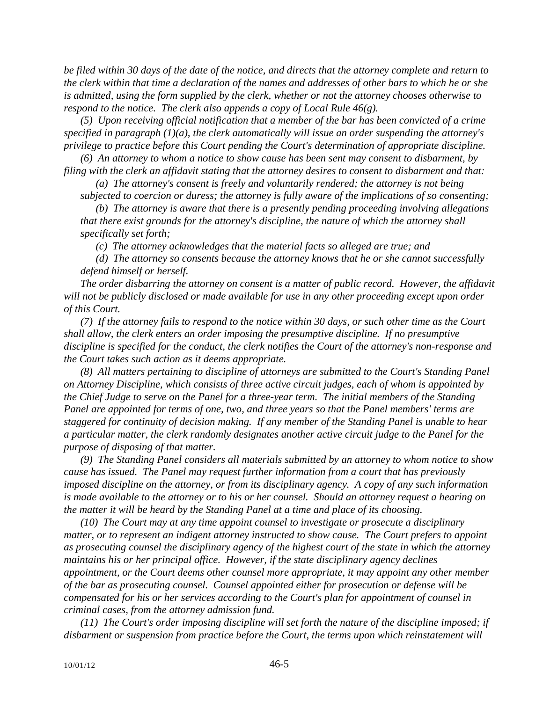*be filed within 30 days of the date of the notice, and directs that the attorney complete and return to the clerk within that time a declaration of the names and addresses of other bars to which he or she is admitted, using the form supplied by the clerk, whether or not the attorney chooses otherwise to respond to the notice. The clerk also appends a copy of Local Rule 46(g).*

*(5) Upon receiving official notification that a member of the bar has been convicted of a crime specified in paragraph (1)(a), the clerk automatically will issue an order suspending the attorney's privilege to practice before this Court pending the Court's determination of appropriate discipline.*

*(6) An attorney to whom a notice to show cause has been sent may consent to disbarment, by filing with the clerk an affidavit stating that the attorney desires to consent to disbarment and that:*

*(a) The attorney's consent is freely and voluntarily rendered; the attorney is not being subjected to coercion or duress; the attorney is fully aware of the implications of so consenting;*

*(b) The attorney is aware that there is a presently pending proceeding involving allegations that there exist grounds for the attorney's discipline, the nature of which the attorney shall specifically set forth;*

*(c) The attorney acknowledges that the material facts so alleged are true; and*

*(d) The attorney so consents because the attorney knows that he or she cannot successfully defend himself or herself.*

*The order disbarring the attorney on consent is a matter of public record. However, the affidavit will not be publicly disclosed or made available for use in any other proceeding except upon order of this Court.*

*(7) If the attorney fails to respond to the notice within 30 days, or such other time as the Court shall allow, the clerk enters an order imposing the presumptive discipline. If no presumptive discipline is specified for the conduct, the clerk notifies the Court of the attorney's non-response and the Court takes such action as it deems appropriate.*

*(8) All matters pertaining to discipline of attorneys are submitted to the Court's Standing Panel on Attorney Discipline, which consists of three active circuit judges, each of whom is appointed by the Chief Judge to serve on the Panel for a three-year term. The initial members of the Standing Panel are appointed for terms of one, two, and three years so that the Panel members' terms are staggered for continuity of decision making. If any member of the Standing Panel is unable to hear a particular matter, the clerk randomly designates another active circuit judge to the Panel for the purpose of disposing of that matter.*

*(9) The Standing Panel considers all materials submitted by an attorney to whom notice to show cause has issued. The Panel may request further information from a court that has previously imposed discipline on the attorney, or from its disciplinary agency. A copy of any such information is made available to the attorney or to his or her counsel. Should an attorney request a hearing on the matter it will be heard by the Standing Panel at a time and place of its choosing.*

*(10) The Court may at any time appoint counsel to investigate or prosecute a disciplinary matter, or to represent an indigent attorney instructed to show cause. The Court prefers to appoint as prosecuting counsel the disciplinary agency of the highest court of the state in which the attorney maintains his or her principal office. However, if the state disciplinary agency declines appointment, or the Court deems other counsel more appropriate, it may appoint any other member of the bar as prosecuting counsel. Counsel appointed either for prosecution or defense will be compensated for his or her services according to the Court's plan for appointment of counsel in criminal cases, from the attorney admission fund.*

*(11) The Court's order imposing discipline will set forth the nature of the discipline imposed; if disbarment or suspension from practice before the Court, the terms upon which reinstatement will*